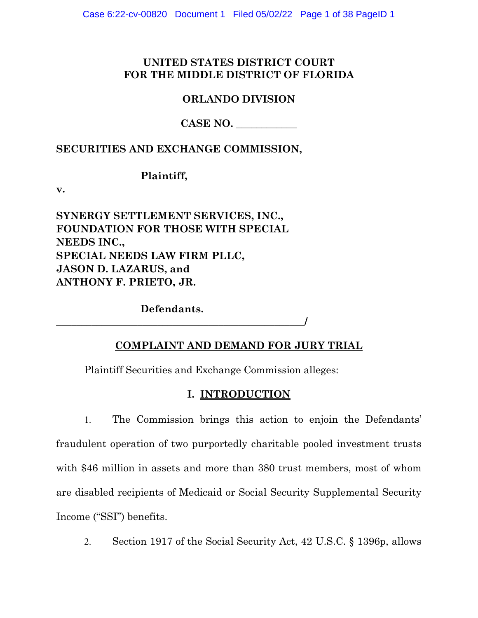# **UNITED STATES DISTRICT COURT FOR THE MIDDLE DISTRICT OF FLORIDA**

## **ORLANDO DIVISION**

# **CASE NO. \_\_\_\_\_\_\_\_\_\_\_\_**

## **SECURITIES AND EXCHANGE COMMISSION,**

## **Plaintiff,**

**v.** 

**SYNERGY SETTLEMENT SERVICES, INC., FOUNDATION FOR THOSE WITH SPECIAL NEEDS INC., SPECIAL NEEDS LAW FIRM PLLC, JASON D. LAZARUS, and ANTHONY F. PRIETO, JR.** 

**Defendants.** 

**\_\_\_\_\_\_\_\_\_\_\_\_\_\_\_\_\_\_\_\_\_\_\_\_\_\_\_\_\_\_\_\_\_\_\_\_\_\_\_\_\_\_\_\_\_\_\_\_\_/** 

# **COMPLAINT AND DEMAND FOR JURY TRIAL**

Plaintiff Securities and Exchange Commission alleges:

# **I. INTRODUCTION**

- 1. The Commission brings this action to enjoin the Defendants' fraudulent operation of two purportedly charitable pooled investment trusts with \$46 million in assets and more than 380 trust members, most of whom are disabled recipients of Medicaid or Social Security Supplemental Security Income ("SSI") benefits.
	- 2. Section 1917 of the Social Security Act, 42 U.S.C. § 1396p, allows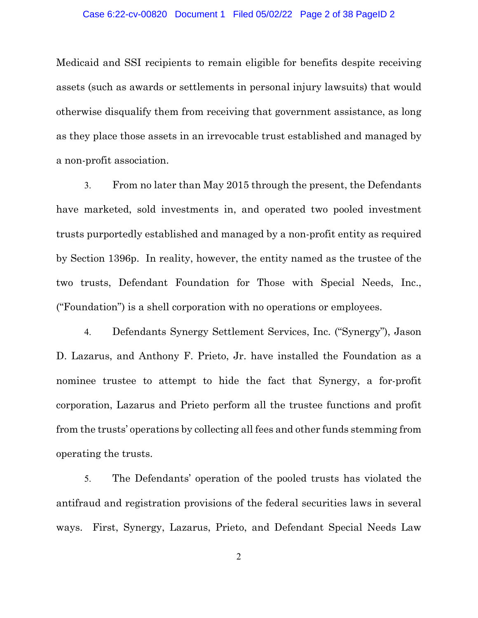Medicaid and SSI recipients to remain eligible for benefits despite receiving assets (such as awards or settlements in personal injury lawsuits) that would otherwise disqualify them from receiving that government assistance, as long as they place those assets in an irrevocable trust established and managed by a non-profit association.

3. From no later than May 2015 through the present, the Defendants have marketed, sold investments in, and operated two pooled investment trusts purportedly established and managed by a non-profit entity as required by Section 1396p. In reality, however, the entity named as the trustee of the two trusts, Defendant Foundation for Those with Special Needs, Inc., ("Foundation") is a shell corporation with no operations or employees.

4. Defendants Synergy Settlement Services, Inc. ("Synergy"), Jason D. Lazarus, and Anthony F. Prieto, Jr. have installed the Foundation as a nominee trustee to attempt to hide the fact that Synergy, a for-profit corporation, Lazarus and Prieto perform all the trustee functions and profit from the trusts' operations by collecting all fees and other funds stemming from operating the trusts.

5. The Defendants' operation of the pooled trusts has violated the antifraud and registration provisions of the federal securities laws in several ways. First, Synergy, Lazarus, Prieto, and Defendant Special Needs Law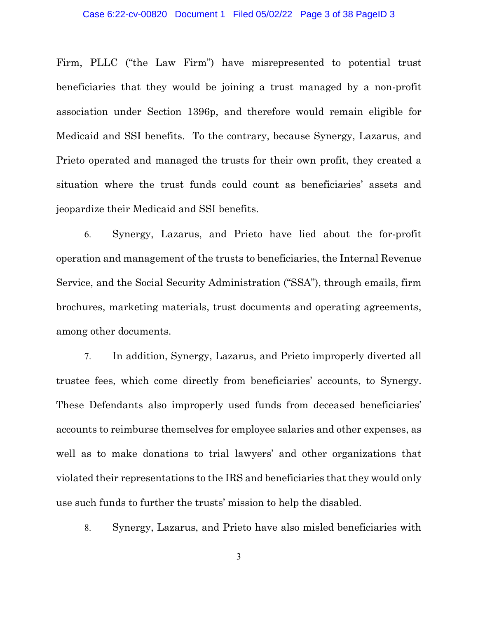Firm, PLLC ("the Law Firm") have misrepresented to potential trust beneficiaries that they would be joining a trust managed by a non-profit association under Section 1396p, and therefore would remain eligible for Medicaid and SSI benefits. To the contrary, because Synergy, Lazarus, and Prieto operated and managed the trusts for their own profit, they created a situation where the trust funds could count as beneficiaries' assets and jeopardize their Medicaid and SSI benefits.

6. Synergy, Lazarus, and Prieto have lied about the for-profit operation and management of the trusts to beneficiaries, the Internal Revenue Service, and the Social Security Administration ("SSA"), through emails, firm brochures, marketing materials, trust documents and operating agreements, among other documents.

7. In addition, Synergy, Lazarus, and Prieto improperly diverted all trustee fees, which come directly from beneficiaries' accounts, to Synergy. These Defendants also improperly used funds from deceased beneficiaries' accounts to reimburse themselves for employee salaries and other expenses, as well as to make donations to trial lawyers' and other organizations that violated their representations to the IRS and beneficiaries that they would only use such funds to further the trusts' mission to help the disabled.

8. Synergy, Lazarus, and Prieto have also misled beneficiaries with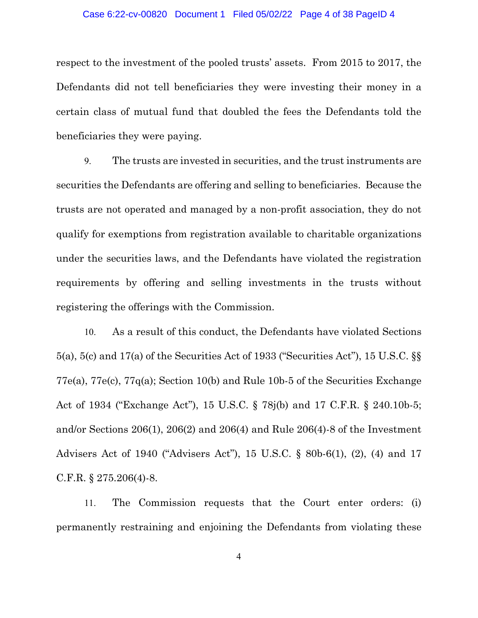#### Case 6:22-cv-00820 Document 1 Filed 05/02/22 Page 4 of 38 PageID 4

respect to the investment of the pooled trusts' assets. From 2015 to 2017, the Defendants did not tell beneficiaries they were investing their money in a certain class of mutual fund that doubled the fees the Defendants told the beneficiaries they were paying.

9. The trusts are invested in securities, and the trust instruments are securities the Defendants are offering and selling to beneficiaries. Because the trusts are not operated and managed by a non-profit association, they do not qualify for exemptions from registration available to charitable organizations under the securities laws, and the Defendants have violated the registration requirements by offering and selling investments in the trusts without registering the offerings with the Commission.

10. As a result of this conduct, the Defendants have violated Sections 5(a), 5(c) and 17(a) of the Securities Act of 1933 ("Securities Act"), 15 U.S.C. §§ 77e(a), 77e(c), 77q(a); Section 10(b) and Rule 10b-5 of the Securities Exchange Act of 1934 ("Exchange Act"), 15 U.S.C. § 78j(b) and 17 C.F.R. § 240.10b-5; and/or Sections 206(1), 206(2) and 206(4) and Rule 206(4)-8 of the Investment Advisers Act of 1940 ("Advisers Act"), 15 U.S.C. § 80b-6(1), (2), (4) and 17 C.F.R. § 275.206(4)-8.

11. The Commission requests that the Court enter orders: (i) permanently restraining and enjoining the Defendants from violating these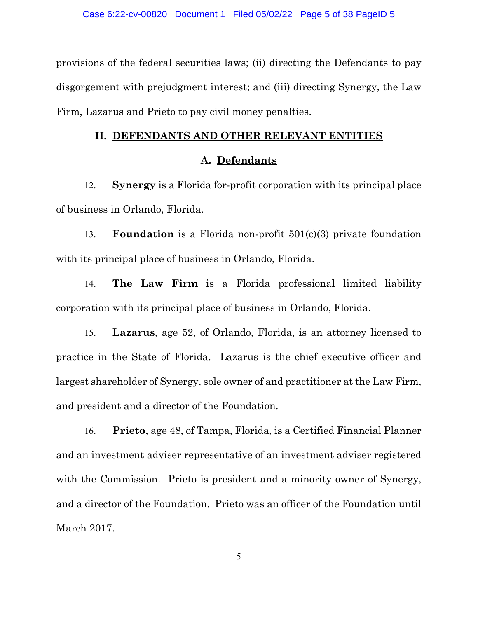provisions of the federal securities laws; (ii) directing the Defendants to pay disgorgement with prejudgment interest; and (iii) directing Synergy, the Law Firm, Lazarus and Prieto to pay civil money penalties.

#### **II. DEFENDANTS AND OTHER RELEVANT ENTITIES**

## **A. Defendants**

12. **Synergy** is a Florida for-profit corporation with its principal place of business in Orlando, Florida.

13. **Foundation** is a Florida non-profit 501(c)(3) private foundation with its principal place of business in Orlando, Florida.

14. **The Law Firm** is a Florida professional limited liability corporation with its principal place of business in Orlando, Florida.

15. **Lazarus**, age 52, of Orlando, Florida, is an attorney licensed to practice in the State of Florida. Lazarus is the chief executive officer and largest shareholder of Synergy, sole owner of and practitioner at the Law Firm, and president and a director of the Foundation.

16. **Prieto**, age 48, of Tampa, Florida, is a Certified Financial Planner and an investment adviser representative of an investment adviser registered with the Commission. Prieto is president and a minority owner of Synergy, and a director of the Foundation. Prieto was an officer of the Foundation until March 2017.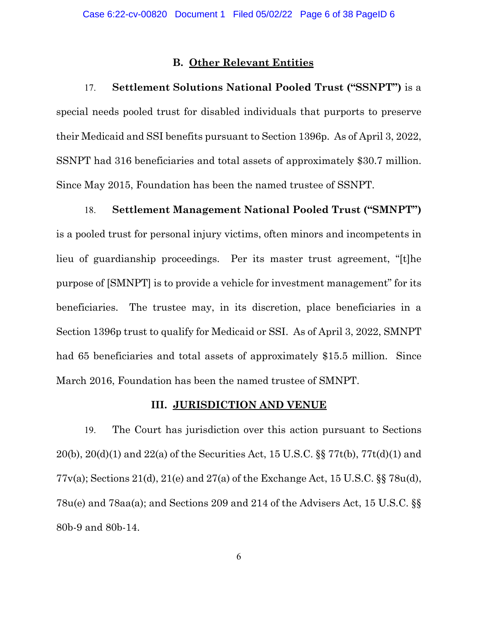### **B. Other Relevant Entities**

17. **Settlement Solutions National Pooled Trust ("SSNPT")** is a special needs pooled trust for disabled individuals that purports to preserve their Medicaid and SSI benefits pursuant to Section 1396p. As of April 3, 2022, SSNPT had 316 beneficiaries and total assets of approximately \$30.7 million. Since May 2015, Foundation has been the named trustee of SSNPT.

18. **Settlement Management National Pooled Trust ("SMNPT")**  is a pooled trust for personal injury victims, often minors and incompetents in lieu of guardianship proceedings. Per its master trust agreement, "[t]he purpose of [SMNPT] is to provide a vehicle for investment management" for its beneficiaries. The trustee may, in its discretion, place beneficiaries in a Section 1396p trust to qualify for Medicaid or SSI. As of April 3, 2022, SMNPT had 65 beneficiaries and total assets of approximately \$15.5 million. Since March 2016, Foundation has been the named trustee of SMNPT.

## **III. JURISDICTION AND VENUE**

19. The Court has jurisdiction over this action pursuant to Sections 20(b), 20(d)(1) and 22(a) of the Securities Act, 15 U.S.C. §§ 77t(b), 77t(d)(1) and 77v(a); Sections 21(d), 21(e) and 27(a) of the Exchange Act, 15 U.S.C. §§ 78u(d), 78u(e) and 78aa(a); and Sections 209 and 214 of the Advisers Act, 15 U.S.C. §§ 80b-9 and 80b-14.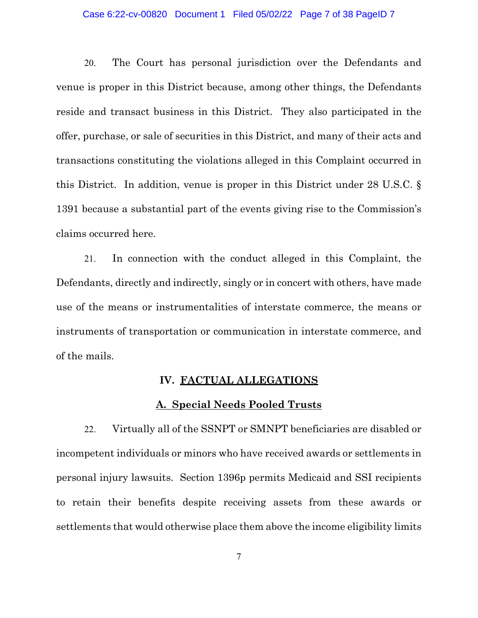#### Case 6:22-cv-00820 Document 1 Filed 05/02/22 Page 7 of 38 PageID 7

20. The Court has personal jurisdiction over the Defendants and venue is proper in this District because, among other things, the Defendants reside and transact business in this District. They also participated in the offer, purchase, or sale of securities in this District, and many of their acts and transactions constituting the violations alleged in this Complaint occurred in this District. In addition, venue is proper in this District under 28 U.S.C. § 1391 because a substantial part of the events giving rise to the Commission's claims occurred here.

21. In connection with the conduct alleged in this Complaint, the Defendants, directly and indirectly, singly or in concert with others, have made use of the means or instrumentalities of interstate commerce, the means or instruments of transportation or communication in interstate commerce, and of the mails.

## **IV. FACTUAL ALLEGATIONS**

### **A. Special Needs Pooled Trusts**

22. Virtually all of the SSNPT or SMNPT beneficiaries are disabled or incompetent individuals or minors who have received awards or settlements in personal injury lawsuits. Section 1396p permits Medicaid and SSI recipients to retain their benefits despite receiving assets from these awards or settlements that would otherwise place them above the income eligibility limits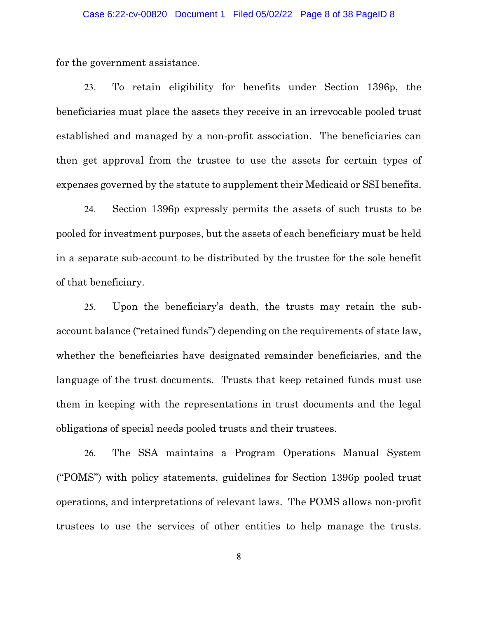#### Case 6:22-cv-00820 Document 1 Filed 05/02/22 Page 8 of 38 PageID 8

for the government assistance.

23. To retain eligibility for benefits under Section 1396p, the beneficiaries must place the assets they receive in an irrevocable pooled trust established and managed by a non-profit association. The beneficiaries can then get approval from the trustee to use the assets for certain types of expenses governed by the statute to supplement their Medicaid or SSI benefits.

24. Section 1396p expressly permits the assets of such trusts to be pooled for investment purposes, but the assets of each beneficiary must be held in a separate sub-account to be distributed by the trustee for the sole benefit of that beneficiary.

25. Upon the beneficiary's death, the trusts may retain the subaccount balance ("retained funds") depending on the requirements of state law, whether the beneficiaries have designated remainder beneficiaries, and the language of the trust documents. Trusts that keep retained funds must use them in keeping with the representations in trust documents and the legal obligations of special needs pooled trusts and their trustees.

26. The SSA maintains a Program Operations Manual System ("POMS") with policy statements, guidelines for Section 1396p pooled trust operations, and interpretations of relevant laws. The POMS allows non-profit trustees to use the services of other entities to help manage the trusts.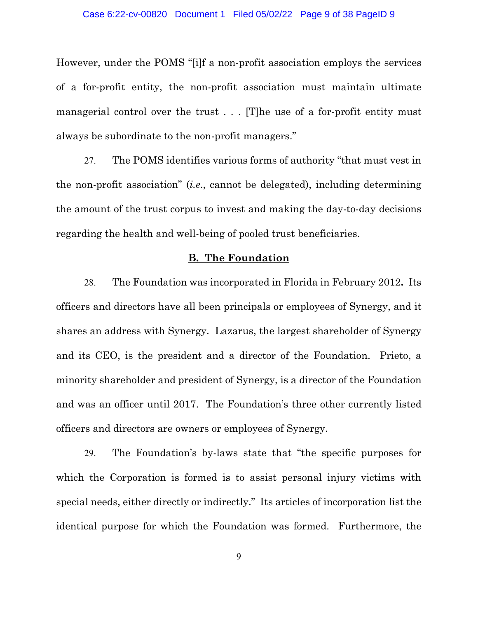#### Case 6:22-cv-00820 Document 1 Filed 05/02/22 Page 9 of 38 PageID 9

However, under the POMS "[i]f a non-profit association employs the services of a for-profit entity, the non-profit association must maintain ultimate managerial control over the trust . . . [T] he use of a for-profit entity must always be subordinate to the non-profit managers."

27. The POMS identifies various forms of authority "that must vest in the non-profit association" (*i.e*., cannot be delegated), including determining the amount of the trust corpus to invest and making the day-to-day decisions regarding the health and well-being of pooled trust beneficiaries.

#### **B. The Foundation**

28. The Foundation was incorporated in Florida in February 2012**.** Its officers and directors have all been principals or employees of Synergy, and it shares an address with Synergy. Lazarus, the largest shareholder of Synergy and its CEO, is the president and a director of the Foundation. Prieto, a minority shareholder and president of Synergy, is a director of the Foundation and was an officer until 2017. The Foundation's three other currently listed officers and directors are owners or employees of Synergy.

29. The Foundation's by-laws state that "the specific purposes for which the Corporation is formed is to assist personal injury victims with special needs, either directly or indirectly." Its articles of incorporation list the identical purpose for which the Foundation was formed. Furthermore, the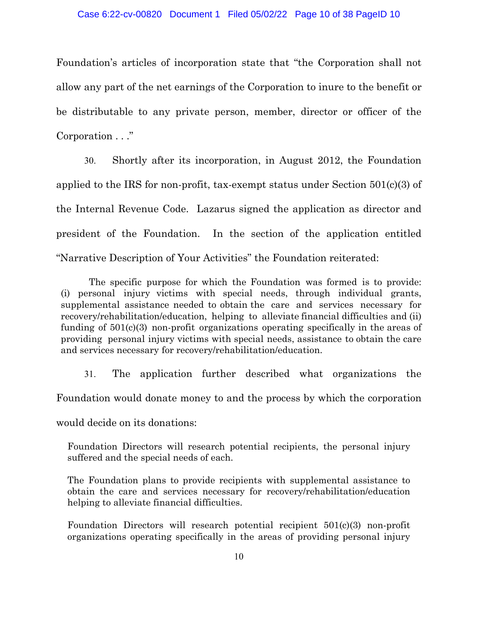Foundation's articles of incorporation state that "the Corporation shall not allow any part of the net earnings of the Corporation to inure to the benefit or be distributable to any private person, member, director or officer of the Corporation . . ."

30. Shortly after its incorporation, in August 2012, the Foundation applied to the IRS for non-profit, tax-exempt status under Section 501(c)(3) of the Internal Revenue Code. Lazarus signed the application as director and president of the Foundation. In the section of the application entitled "Narrative Description of Your Activities" the Foundation reiterated:

The specific purpose for which the Foundation was formed is to provide: (i) personal injury victims with special needs, through individual grants, supplemental assistance needed to obtain the care and services necessary for recovery/rehabilitation/education, helping to alleviate financial difficulties and (ii) funding of 501(c)(3) non-profit organizations operating specifically in the areas of providing personal injury victims with special needs, assistance to obtain the care and services necessary for recovery/rehabilitation/education.

31. The application further described what organizations the Foundation would donate money to and the process by which the corporation would decide on its donations:

Foundation Directors will research potential recipients, the personal injury suffered and the special needs of each.

The Foundation plans to provide recipients with supplemental assistance to obtain the care and services necessary for recovery/rehabilitation/education helping to alleviate financial difficulties.

Foundation Directors will research potential recipient 501(c)(3) non-profit organizations operating specifically in the areas of providing personal injury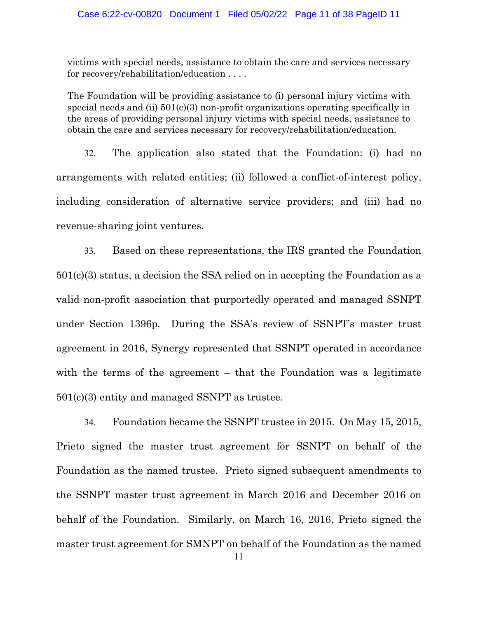#### Case 6:22-cv-00820 Document 1 Filed 05/02/22 Page 11 of 38 PageID 11

victims with special needs, assistance to obtain the care and services necessary for recovery/rehabilitation/education . . . .

The Foundation will be providing assistance to (i) personal injury victims with special needs and (ii) 501(c)(3) non-profit organizations operating specifically in the areas of providing personal injury victims with special needs, assistance to obtain the care and services necessary for recovery/rehabilitation/education.

32. The application also stated that the Foundation: (i) had no arrangements with related entities; (ii) followed a conflict-of-interest policy, including consideration of alternative service providers; and (iii) had no revenue-sharing joint ventures.

33. Based on these representations, the IRS granted the Foundation 501(c)(3) status, a decision the SSA relied on in accepting the Foundation as a valid non-profit association that purportedly operated and managed SSNPT under Section 1396p. During the SSA's review of SSNPT's master trust agreement in 2016, Synergy represented that SSNPT operated in accordance with the terms of the agreement – that the Foundation was a legitimate 501(c)(3) entity and managed SSNPT as trustee.

34. Foundation became the SSNPT trustee in 2015. On May 15, 2015, Prieto signed the master trust agreement for SSNPT on behalf of the Foundation as the named trustee. Prieto signed subsequent amendments to the SSNPT master trust agreement in March 2016 and December 2016 on behalf of the Foundation. Similarly, on March 16, 2016, Prieto signed the master trust agreement for SMNPT on behalf of the Foundation as the named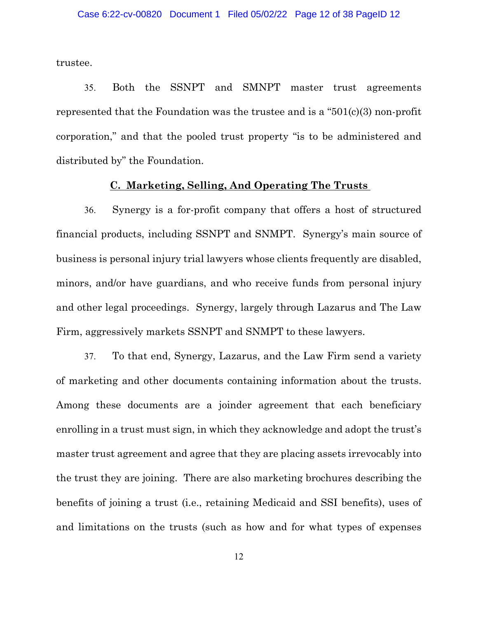trustee.

35. Both the SSNPT and SMNPT master trust agreements represented that the Foundation was the trustee and is a "501(c)(3) non-profit corporation," and that the pooled trust property "is to be administered and distributed by" the Foundation.

## **C. Marketing, Selling, And Operating The Trusts**

36. Synergy is a for-profit company that offers a host of structured financial products, including SSNPT and SNMPT. Synergy's main source of business is personal injury trial lawyers whose clients frequently are disabled, minors, and/or have guardians, and who receive funds from personal injury and other legal proceedings. Synergy, largely through Lazarus and The Law Firm, aggressively markets SSNPT and SNMPT to these lawyers.

37. To that end, Synergy, Lazarus, and the Law Firm send a variety of marketing and other documents containing information about the trusts. Among these documents are a joinder agreement that each beneficiary enrolling in a trust must sign, in which they acknowledge and adopt the trust's master trust agreement and agree that they are placing assets irrevocably into the trust they are joining. There are also marketing brochures describing the benefits of joining a trust (i.e., retaining Medicaid and SSI benefits), uses of and limitations on the trusts (such as how and for what types of expenses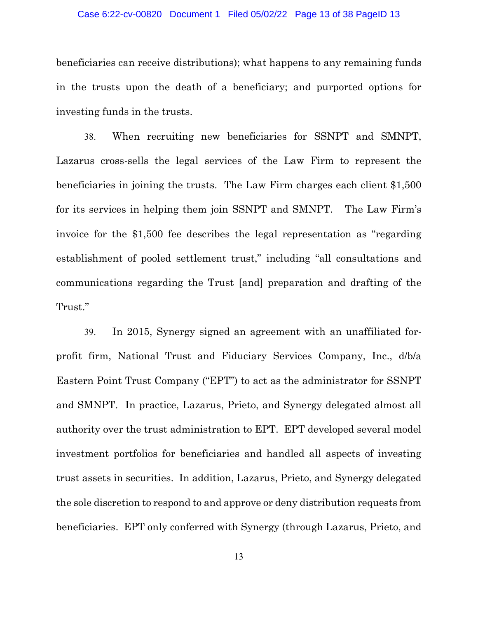#### Case 6:22-cv-00820 Document 1 Filed 05/02/22 Page 13 of 38 PageID 13

beneficiaries can receive distributions); what happens to any remaining funds in the trusts upon the death of a beneficiary; and purported options for investing funds in the trusts.

38. When recruiting new beneficiaries for SSNPT and SMNPT, Lazarus cross-sells the legal services of the Law Firm to represent the beneficiaries in joining the trusts. The Law Firm charges each client \$1,500 for its services in helping them join SSNPT and SMNPT. The Law Firm's invoice for the \$1,500 fee describes the legal representation as "regarding establishment of pooled settlement trust," including "all consultations and communications regarding the Trust [and] preparation and drafting of the Trust."

39. In 2015, Synergy signed an agreement with an unaffiliated forprofit firm, National Trust and Fiduciary Services Company, Inc., d/b/a Eastern Point Trust Company ("EPT") to act as the administrator for SSNPT and SMNPT. In practice, Lazarus, Prieto, and Synergy delegated almost all authority over the trust administration to EPT. EPT developed several model investment portfolios for beneficiaries and handled all aspects of investing trust assets in securities. In addition, Lazarus, Prieto, and Synergy delegated the sole discretion to respond to and approve or deny distribution requests from beneficiaries. EPT only conferred with Synergy (through Lazarus, Prieto, and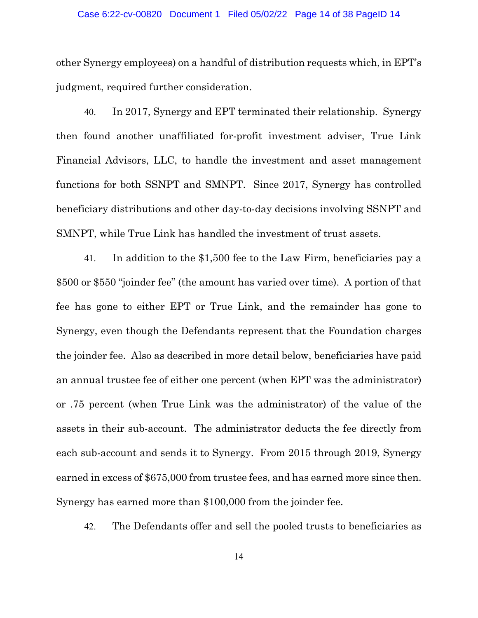#### Case 6:22-cv-00820 Document 1 Filed 05/02/22 Page 14 of 38 PageID 14

other Synergy employees) on a handful of distribution requests which, in EPT's judgment, required further consideration.

40. In 2017, Synergy and EPT terminated their relationship. Synergy then found another unaffiliated for-profit investment adviser, True Link Financial Advisors, LLC, to handle the investment and asset management functions for both SSNPT and SMNPT. Since 2017, Synergy has controlled beneficiary distributions and other day-to-day decisions involving SSNPT and SMNPT, while True Link has handled the investment of trust assets.

41. In addition to the \$1,500 fee to the Law Firm, beneficiaries pay a \$500 or \$550 "joinder fee" (the amount has varied over time). A portion of that fee has gone to either EPT or True Link, and the remainder has gone to Synergy, even though the Defendants represent that the Foundation charges the joinder fee. Also as described in more detail below, beneficiaries have paid an annual trustee fee of either one percent (when EPT was the administrator) or .75 percent (when True Link was the administrator) of the value of the assets in their sub-account. The administrator deducts the fee directly from each sub-account and sends it to Synergy. From 2015 through 2019, Synergy earned in excess of \$675,000 from trustee fees, and has earned more since then. Synergy has earned more than \$100,000 from the joinder fee.

42. The Defendants offer and sell the pooled trusts to beneficiaries as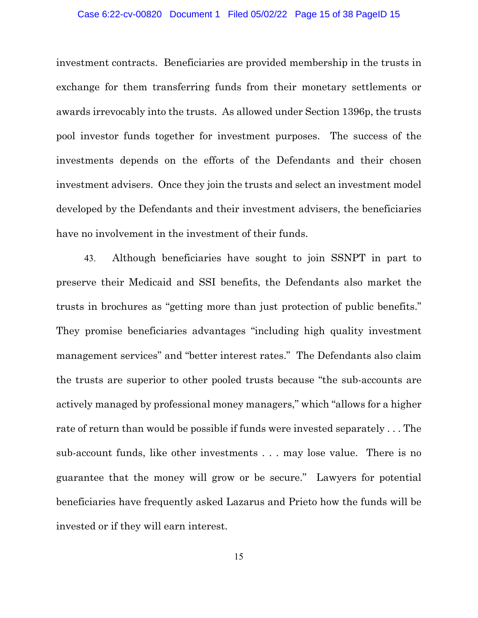#### Case 6:22-cv-00820 Document 1 Filed 05/02/22 Page 15 of 38 PageID 15

investment contracts. Beneficiaries are provided membership in the trusts in exchange for them transferring funds from their monetary settlements or awards irrevocably into the trusts. As allowed under Section 1396p, the trusts pool investor funds together for investment purposes. The success of the investments depends on the efforts of the Defendants and their chosen investment advisers. Once they join the trusts and select an investment model developed by the Defendants and their investment advisers, the beneficiaries have no involvement in the investment of their funds.

43. Although beneficiaries have sought to join SSNPT in part to preserve their Medicaid and SSI benefits, the Defendants also market the trusts in brochures as "getting more than just protection of public benefits." They promise beneficiaries advantages "including high quality investment management services" and "better interest rates." The Defendants also claim the trusts are superior to other pooled trusts because "the sub-accounts are actively managed by professional money managers," which "allows for a higher rate of return than would be possible if funds were invested separately . . . The sub-account funds, like other investments . . . may lose value. There is no guarantee that the money will grow or be secure." Lawyers for potential beneficiaries have frequently asked Lazarus and Prieto how the funds will be invested or if they will earn interest.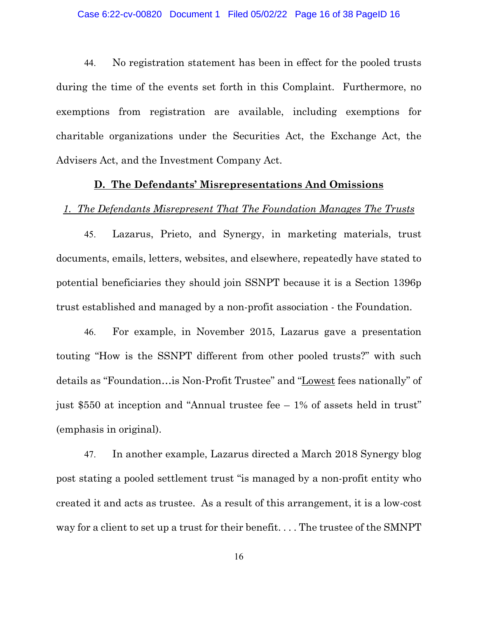44. No registration statement has been in effect for the pooled trusts during the time of the events set forth in this Complaint. Furthermore, no exemptions from registration are available, including exemptions for charitable organizations under the Securities Act, the Exchange Act, the Advisers Act, and the Investment Company Act.

#### **D. The Defendants' Misrepresentations And Omissions**

#### *1. The Defendants Misrepresent That The Foundation Manages The Trusts*

45. Lazarus, Prieto, and Synergy, in marketing materials, trust documents, emails, letters, websites, and elsewhere, repeatedly have stated to potential beneficiaries they should join SSNPT because it is a Section 1396p trust established and managed by a non-profit association - the Foundation.

46. For example, in November 2015, Lazarus gave a presentation touting "How is the SSNPT different from other pooled trusts?" with such details as "Foundation…is Non-Profit Trustee" and "Lowest fees nationally" of just \$550 at inception and "Annual trustee fee – 1% of assets held in trust" (emphasis in original).

47. In another example, Lazarus directed a March 2018 Synergy blog post stating a pooled settlement trust "is managed by a non-profit entity who created it and acts as trustee. As a result of this arrangement, it is a low-cost way for a client to set up a trust for their benefit. . . . The trustee of the SMNPT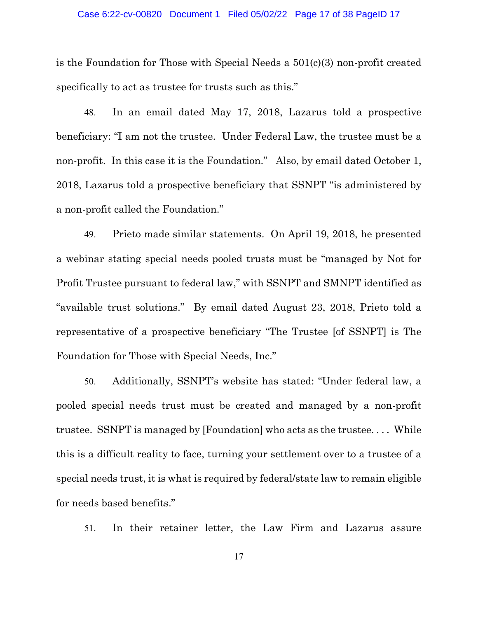#### Case 6:22-cv-00820 Document 1 Filed 05/02/22 Page 17 of 38 PageID 17

is the Foundation for Those with Special Needs a 501(c)(3) non-profit created specifically to act as trustee for trusts such as this."

48. In an email dated May 17, 2018, Lazarus told a prospective beneficiary: "I am not the trustee. Under Federal Law, the trustee must be a non-profit. In this case it is the Foundation." Also, by email dated October 1, 2018, Lazarus told a prospective beneficiary that SSNPT "is administered by a non-profit called the Foundation."

49. Prieto made similar statements. On April 19, 2018, he presented a webinar stating special needs pooled trusts must be "managed by Not for Profit Trustee pursuant to federal law," with SSNPT and SMNPT identified as "available trust solutions." By email dated August 23, 2018, Prieto told a representative of a prospective beneficiary "The Trustee [of SSNPT] is The Foundation for Those with Special Needs, Inc."

50. Additionally, SSNPT's website has stated: "Under federal law, a pooled special needs trust must be created and managed by a non-profit trustee. SSNPT is managed by [Foundation] who acts as the trustee. . . . While this is a difficult reality to face, turning your settlement over to a trustee of a special needs trust, it is what is required by federal/state law to remain eligible for needs based benefits."

51. In their retainer letter, the Law Firm and Lazarus assure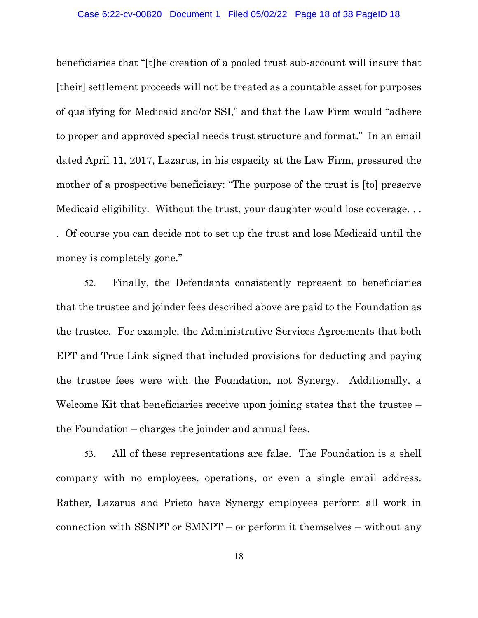beneficiaries that "[t]he creation of a pooled trust sub-account will insure that [their] settlement proceeds will not be treated as a countable asset for purposes of qualifying for Medicaid and/or SSI," and that the Law Firm would "adhere to proper and approved special needs trust structure and format." In an email dated April 11, 2017, Lazarus, in his capacity at the Law Firm, pressured the mother of a prospective beneficiary: "The purpose of the trust is [to] preserve Medicaid eligibility. Without the trust, your daughter would lose coverage. . . . Of course you can decide not to set up the trust and lose Medicaid until the money is completely gone."

52. Finally, the Defendants consistently represent to beneficiaries that the trustee and joinder fees described above are paid to the Foundation as the trustee. For example, the Administrative Services Agreements that both EPT and True Link signed that included provisions for deducting and paying the trustee fees were with the Foundation, not Synergy. Additionally, a Welcome Kit that beneficiaries receive upon joining states that the trustee – the Foundation – charges the joinder and annual fees.

53. All of these representations are false. The Foundation is a shell company with no employees, operations, or even a single email address. Rather, Lazarus and Prieto have Synergy employees perform all work in connection with SSNPT or SMNPT – or perform it themselves – without any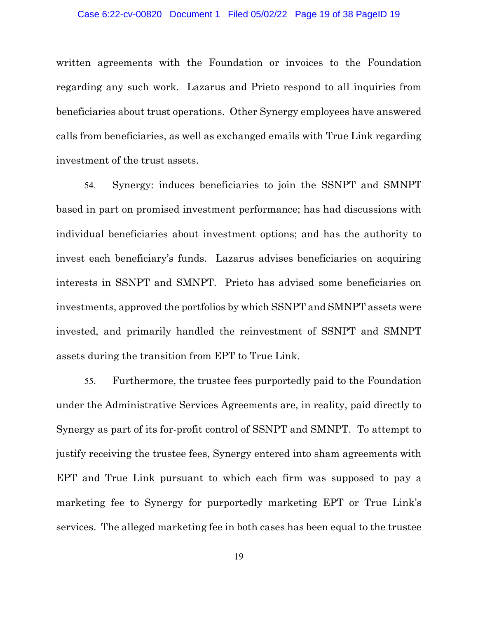written agreements with the Foundation or invoices to the Foundation regarding any such work. Lazarus and Prieto respond to all inquiries from beneficiaries about trust operations. Other Synergy employees have answered calls from beneficiaries, as well as exchanged emails with True Link regarding investment of the trust assets.

54. Synergy: induces beneficiaries to join the SSNPT and SMNPT based in part on promised investment performance; has had discussions with individual beneficiaries about investment options; and has the authority to invest each beneficiary's funds. Lazarus advises beneficiaries on acquiring interests in SSNPT and SMNPT. Prieto has advised some beneficiaries on investments, approved the portfolios by which SSNPT and SMNPT assets were invested, and primarily handled the reinvestment of SSNPT and SMNPT assets during the transition from EPT to True Link.

55. Furthermore, the trustee fees purportedly paid to the Foundation under the Administrative Services Agreements are, in reality, paid directly to Synergy as part of its for-profit control of SSNPT and SMNPT. To attempt to justify receiving the trustee fees, Synergy entered into sham agreements with EPT and True Link pursuant to which each firm was supposed to pay a marketing fee to Synergy for purportedly marketing EPT or True Link's services. The alleged marketing fee in both cases has been equal to the trustee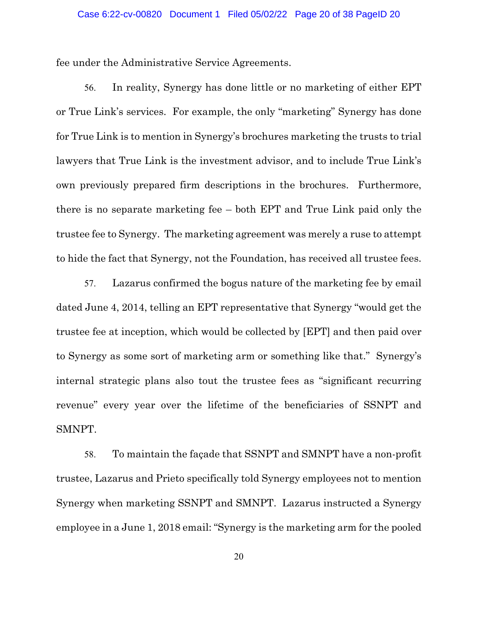fee under the Administrative Service Agreements.

56. In reality, Synergy has done little or no marketing of either EPT or True Link's services. For example, the only "marketing" Synergy has done for True Link is to mention in Synergy's brochures marketing the trusts to trial lawyers that True Link is the investment advisor, and to include True Link's own previously prepared firm descriptions in the brochures. Furthermore, there is no separate marketing fee – both EPT and True Link paid only the trustee fee to Synergy. The marketing agreement was merely a ruse to attempt to hide the fact that Synergy, not the Foundation, has received all trustee fees.

57. Lazarus confirmed the bogus nature of the marketing fee by email dated June 4, 2014, telling an EPT representative that Synergy "would get the trustee fee at inception, which would be collected by [EPT] and then paid over to Synergy as some sort of marketing arm or something like that." Synergy's internal strategic plans also tout the trustee fees as "significant recurring revenue" every year over the lifetime of the beneficiaries of SSNPT and SMNPT.

58. To maintain the façade that SSNPT and SMNPT have a non-profit trustee, Lazarus and Prieto specifically told Synergy employees not to mention Synergy when marketing SSNPT and SMNPT. Lazarus instructed a Synergy employee in a June 1, 2018 email: "Synergy is the marketing arm for the pooled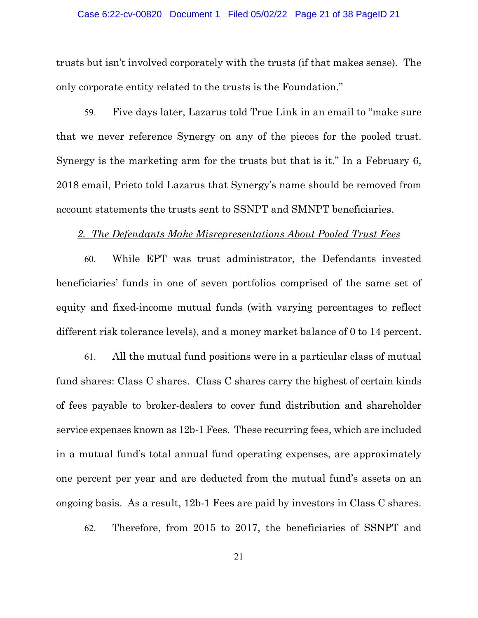#### Case 6:22-cv-00820 Document 1 Filed 05/02/22 Page 21 of 38 PageID 21

trusts but isn't involved corporately with the trusts (if that makes sense). The only corporate entity related to the trusts is the Foundation."

59. Five days later, Lazarus told True Link in an email to "make sure that we never reference Synergy on any of the pieces for the pooled trust. Synergy is the marketing arm for the trusts but that is it." In a February 6, 2018 email, Prieto told Lazarus that Synergy's name should be removed from account statements the trusts sent to SSNPT and SMNPT beneficiaries.

#### *2. The Defendants Make Misrepresentations About Pooled Trust Fees*

60. While EPT was trust administrator, the Defendants invested beneficiaries' funds in one of seven portfolios comprised of the same set of equity and fixed-income mutual funds (with varying percentages to reflect different risk tolerance levels), and a money market balance of 0 to 14 percent.

61. All the mutual fund positions were in a particular class of mutual fund shares: Class C shares. Class C shares carry the highest of certain kinds of fees payable to broker-dealers to cover fund distribution and shareholder service expenses known as 12b-1 Fees. These recurring fees, which are included in a mutual fund's total annual fund operating expenses, are approximately one percent per year and are deducted from the mutual fund's assets on an ongoing basis. As a result, 12b-1 Fees are paid by investors in Class C shares.

62. Therefore, from 2015 to 2017, the beneficiaries of SSNPT and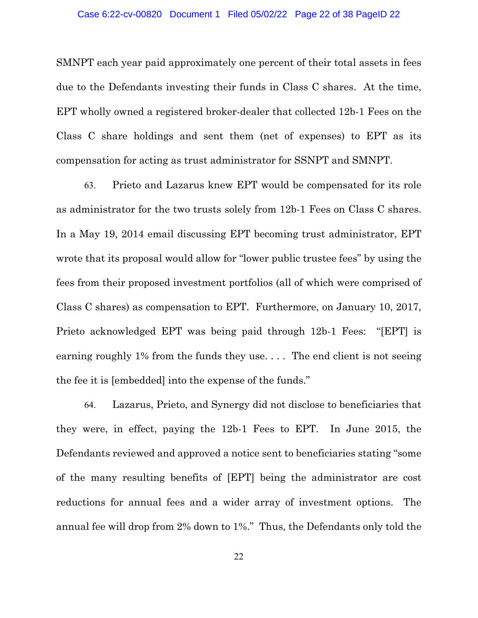#### Case 6:22-cv-00820 Document 1 Filed 05/02/22 Page 22 of 38 PageID 22

SMNPT each year paid approximately one percent of their total assets in fees due to the Defendants investing their funds in Class C shares. At the time, EPT wholly owned a registered broker-dealer that collected 12b-1 Fees on the Class C share holdings and sent them (net of expenses) to EPT as its compensation for acting as trust administrator for SSNPT and SMNPT.

63. Prieto and Lazarus knew EPT would be compensated for its role as administrator for the two trusts solely from 12b-1 Fees on Class C shares. In a May 19, 2014 email discussing EPT becoming trust administrator, EPT wrote that its proposal would allow for "lower public trustee fees" by using the fees from their proposed investment portfolios (all of which were comprised of Class C shares) as compensation to EPT. Furthermore, on January 10, 2017, Prieto acknowledged EPT was being paid through 12b-1 Fees: "[EPT] is earning roughly 1% from the funds they use. . . . The end client is not seeing the fee it is [embedded] into the expense of the funds."

64. Lazarus, Prieto, and Synergy did not disclose to beneficiaries that they were, in effect, paying the 12b-1 Fees to EPT. In June 2015, the Defendants reviewed and approved a notice sent to beneficiaries stating "some of the many resulting benefits of [EPT] being the administrator are cost reductions for annual fees and a wider array of investment options. The annual fee will drop from 2% down to 1%." Thus, the Defendants only told the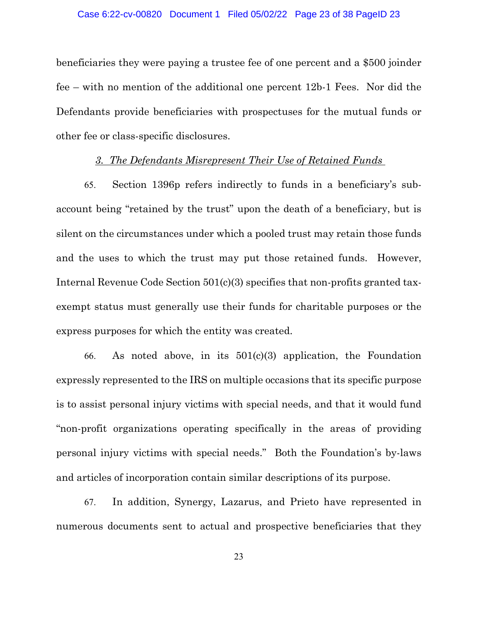#### Case 6:22-cv-00820 Document 1 Filed 05/02/22 Page 23 of 38 PageID 23

beneficiaries they were paying a trustee fee of one percent and a \$500 joinder fee – with no mention of the additional one percent 12b-1 Fees. Nor did the Defendants provide beneficiaries with prospectuses for the mutual funds or other fee or class-specific disclosures.

### *3. The Defendants Misrepresent Their Use of Retained Funds*

65. Section 1396p refers indirectly to funds in a beneficiary's subaccount being "retained by the trust" upon the death of a beneficiary, but is silent on the circumstances under which a pooled trust may retain those funds and the uses to which the trust may put those retained funds. However, Internal Revenue Code Section 501(c)(3) specifies that non-profits granted taxexempt status must generally use their funds for charitable purposes or the express purposes for which the entity was created.

66. As noted above, in its 501(c)(3) application, the Foundation expressly represented to the IRS on multiple occasions that its specific purpose is to assist personal injury victims with special needs, and that it would fund "non-profit organizations operating specifically in the areas of providing personal injury victims with special needs." Both the Foundation's by-laws and articles of incorporation contain similar descriptions of its purpose.

67. In addition, Synergy, Lazarus, and Prieto have represented in numerous documents sent to actual and prospective beneficiaries that they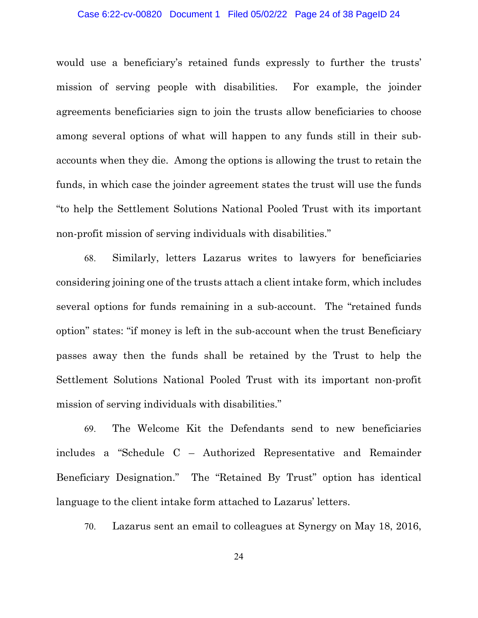#### Case 6:22-cv-00820 Document 1 Filed 05/02/22 Page 24 of 38 PageID 24

would use a beneficiary's retained funds expressly to further the trusts' mission of serving people with disabilities. For example, the joinder agreements beneficiaries sign to join the trusts allow beneficiaries to choose among several options of what will happen to any funds still in their subaccounts when they die. Among the options is allowing the trust to retain the funds, in which case the joinder agreement states the trust will use the funds "to help the Settlement Solutions National Pooled Trust with its important non-profit mission of serving individuals with disabilities."

68. Similarly, letters Lazarus writes to lawyers for beneficiaries considering joining one of the trusts attach a client intake form, which includes several options for funds remaining in a sub-account. The "retained funds option" states: "if money is left in the sub-account when the trust Beneficiary passes away then the funds shall be retained by the Trust to help the Settlement Solutions National Pooled Trust with its important non-profit mission of serving individuals with disabilities."

69. The Welcome Kit the Defendants send to new beneficiaries includes a "Schedule C – Authorized Representative and Remainder Beneficiary Designation." The "Retained By Trust" option has identical language to the client intake form attached to Lazarus' letters.

70. Lazarus sent an email to colleagues at Synergy on May 18, 2016,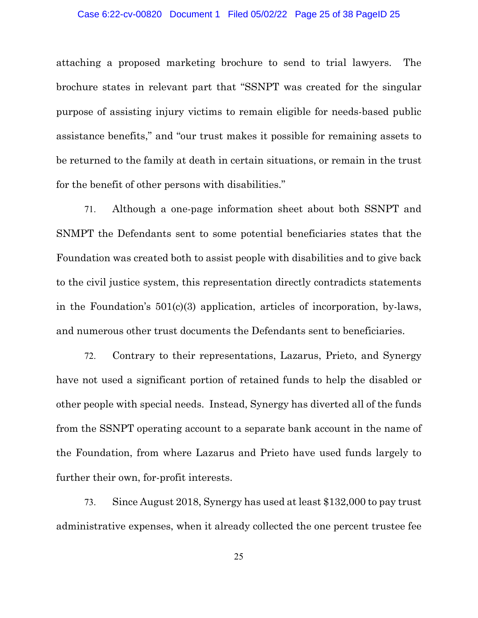#### Case 6:22-cv-00820 Document 1 Filed 05/02/22 Page 25 of 38 PageID 25

attaching a proposed marketing brochure to send to trial lawyers. The brochure states in relevant part that "SSNPT was created for the singular purpose of assisting injury victims to remain eligible for needs-based public assistance benefits," and "our trust makes it possible for remaining assets to be returned to the family at death in certain situations, or remain in the trust for the benefit of other persons with disabilities."

71. Although a one-page information sheet about both SSNPT and SNMPT the Defendants sent to some potential beneficiaries states that the Foundation was created both to assist people with disabilities and to give back to the civil justice system, this representation directly contradicts statements in the Foundation's 501(c)(3) application, articles of incorporation, by-laws, and numerous other trust documents the Defendants sent to beneficiaries.

72. Contrary to their representations, Lazarus, Prieto, and Synergy have not used a significant portion of retained funds to help the disabled or other people with special needs. Instead, Synergy has diverted all of the funds from the SSNPT operating account to a separate bank account in the name of the Foundation, from where Lazarus and Prieto have used funds largely to further their own, for-profit interests.

73. Since August 2018, Synergy has used at least \$132,000 to pay trust administrative expenses, when it already collected the one percent trustee fee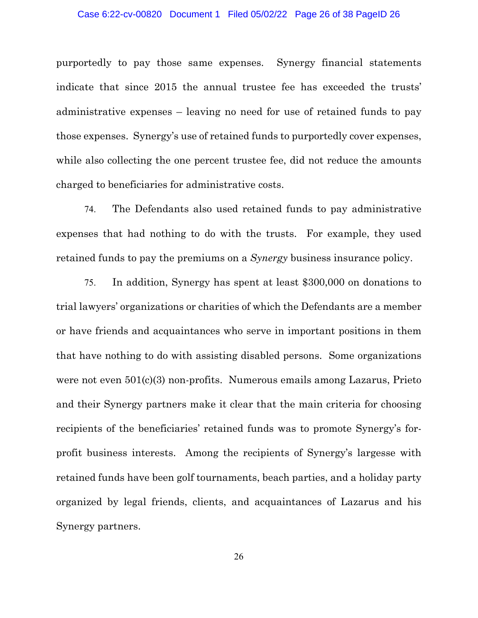#### Case 6:22-cv-00820 Document 1 Filed 05/02/22 Page 26 of 38 PageID 26

purportedly to pay those same expenses. Synergy financial statements indicate that since 2015 the annual trustee fee has exceeded the trusts' administrative expenses – leaving no need for use of retained funds to pay those expenses. Synergy's use of retained funds to purportedly cover expenses, while also collecting the one percent trustee fee, did not reduce the amounts charged to beneficiaries for administrative costs.

74. The Defendants also used retained funds to pay administrative expenses that had nothing to do with the trusts. For example, they used retained funds to pay the premiums on a *Synergy* business insurance policy.

75. In addition, Synergy has spent at least \$300,000 on donations to trial lawyers' organizations or charities of which the Defendants are a member or have friends and acquaintances who serve in important positions in them that have nothing to do with assisting disabled persons. Some organizations were not even  $501(c)(3)$  non-profits. Numerous emails among Lazarus, Prieto and their Synergy partners make it clear that the main criteria for choosing recipients of the beneficiaries' retained funds was to promote Synergy's forprofit business interests. Among the recipients of Synergy's largesse with retained funds have been golf tournaments, beach parties, and a holiday party organized by legal friends, clients, and acquaintances of Lazarus and his Synergy partners.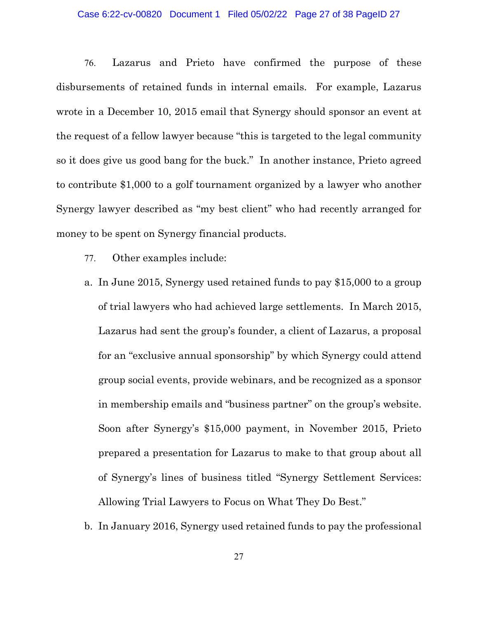#### Case 6:22-cv-00820 Document 1 Filed 05/02/22 Page 27 of 38 PageID 27

76. Lazarus and Prieto have confirmed the purpose of these disbursements of retained funds in internal emails. For example, Lazarus wrote in a December 10, 2015 email that Synergy should sponsor an event at the request of a fellow lawyer because "this is targeted to the legal community so it does give us good bang for the buck." In another instance, Prieto agreed to contribute \$1,000 to a golf tournament organized by a lawyer who another Synergy lawyer described as "my best client" who had recently arranged for money to be spent on Synergy financial products.

- 77. Other examples include:
- a. In June 2015, Synergy used retained funds to pay \$15,000 to a group of trial lawyers who had achieved large settlements. In March 2015, Lazarus had sent the group's founder, a client of Lazarus, a proposal for an "exclusive annual sponsorship" by which Synergy could attend group social events, provide webinars, and be recognized as a sponsor in membership emails and "business partner" on the group's website. Soon after Synergy's \$15,000 payment, in November 2015, Prieto prepared a presentation for Lazarus to make to that group about all of Synergy's lines of business titled "Synergy Settlement Services: Allowing Trial Lawyers to Focus on What They Do Best."
- b. In January 2016, Synergy used retained funds to pay the professional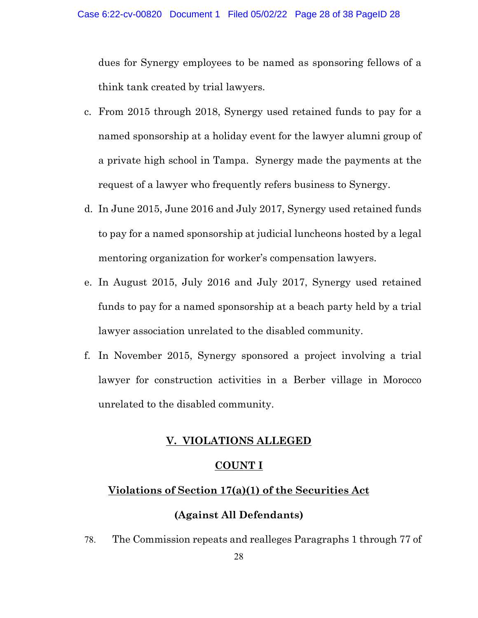dues for Synergy employees to be named as sponsoring fellows of a think tank created by trial lawyers.

- c. From 2015 through 2018, Synergy used retained funds to pay for a named sponsorship at a holiday event for the lawyer alumni group of a private high school in Tampa. Synergy made the payments at the request of a lawyer who frequently refers business to Synergy.
- d. In June 2015, June 2016 and July 2017, Synergy used retained funds to pay for a named sponsorship at judicial luncheons hosted by a legal mentoring organization for worker's compensation lawyers.
- e. In August 2015, July 2016 and July 2017, Synergy used retained funds to pay for a named sponsorship at a beach party held by a trial lawyer association unrelated to the disabled community.
- f. In November 2015, Synergy sponsored a project involving a trial lawyer for construction activities in a Berber village in Morocco unrelated to the disabled community.

## **V. VIOLATIONS ALLEGED**

## **COUNT I**

# **Violations of Section 17(a)(1) of the Securities Act (Against All Defendants)**

78. The Commission repeats and realleges Paragraphs 1 through 77 of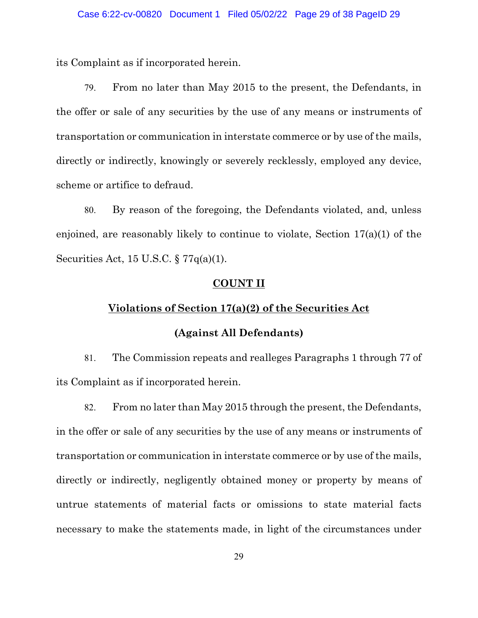its Complaint as if incorporated herein.

79. From no later than May 2015 to the present, the Defendants, in the offer or sale of any securities by the use of any means or instruments of transportation or communication in interstate commerce or by use of the mails, directly or indirectly, knowingly or severely recklessly, employed any device, scheme or artifice to defraud.

80. By reason of the foregoing, the Defendants violated, and, unless enjoined, are reasonably likely to continue to violate, Section 17(a)(1) of the Securities Act, 15 U.S.C. § 77q(a)(1).

### **COUNT II**

## **Violations of Section 17(a)(2) of the Securities Act**

## **(Against All Defendants)**

81. The Commission repeats and realleges Paragraphs 1 through 77 of its Complaint as if incorporated herein.

82. From no later than May 2015 through the present, the Defendants, in the offer or sale of any securities by the use of any means or instruments of transportation or communication in interstate commerce or by use of the mails, directly or indirectly, negligently obtained money or property by means of untrue statements of material facts or omissions to state material facts necessary to make the statements made, in light of the circumstances under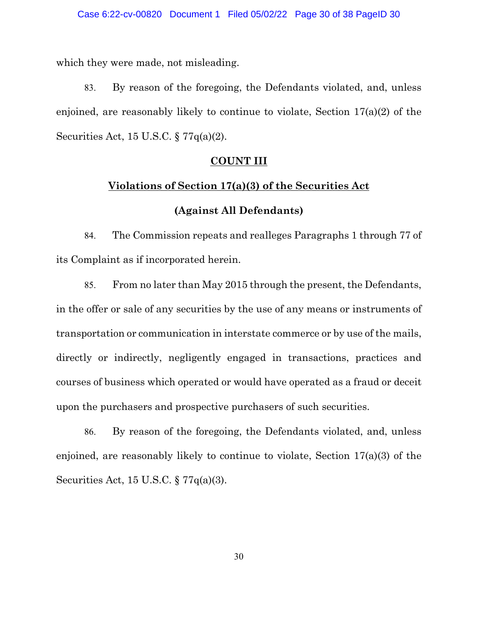which they were made, not misleading.

83. By reason of the foregoing, the Defendants violated, and, unless enjoined, are reasonably likely to continue to violate, Section 17(a)(2) of the Securities Act, 15 U.S.C. § 77q(a)(2).

#### **COUNT III**

## **Violations of Section 17(a)(3) of the Securities Act**

## **(Against All Defendants)**

84. The Commission repeats and realleges Paragraphs 1 through 77 of its Complaint as if incorporated herein.

85. From no later than May 2015 through the present, the Defendants, in the offer or sale of any securities by the use of any means or instruments of transportation or communication in interstate commerce or by use of the mails, directly or indirectly, negligently engaged in transactions, practices and courses of business which operated or would have operated as a fraud or deceit upon the purchasers and prospective purchasers of such securities.

86. By reason of the foregoing, the Defendants violated, and, unless enjoined, are reasonably likely to continue to violate, Section 17(a)(3) of the Securities Act, 15 U.S.C. § 77q(a)(3).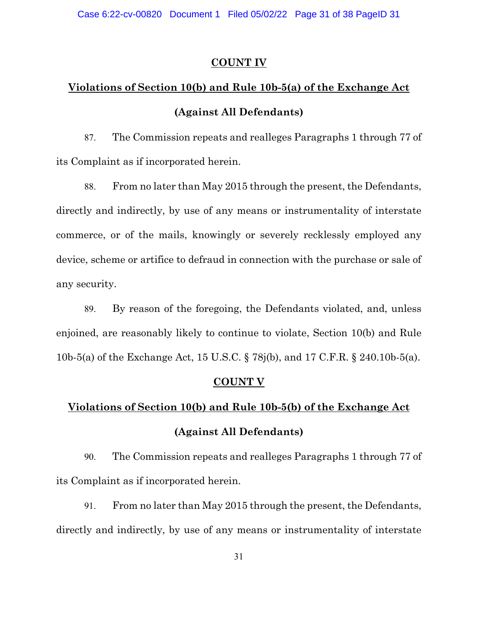Case 6:22-cv-00820 Document 1 Filed 05/02/22 Page 31 of 38 PageID 31

### **COUNT IV**

# **Violations of Section 10(b) and Rule 10b-5(a) of the Exchange Act (Against All Defendants)**

87. The Commission repeats and realleges Paragraphs 1 through 77 of its Complaint as if incorporated herein.

88. From no later than May 2015 through the present, the Defendants, directly and indirectly, by use of any means or instrumentality of interstate commerce, or of the mails, knowingly or severely recklessly employed any device, scheme or artifice to defraud in connection with the purchase or sale of any security.

89. By reason of the foregoing, the Defendants violated, and, unless enjoined, are reasonably likely to continue to violate, Section 10(b) and Rule 10b-5(a) of the Exchange Act, 15 U.S.C. § 78j(b), and 17 C.F.R. § 240.10b-5(a).

### **COUNT V**

# **Violations of Section 10(b) and Rule 10b-5(b) of the Exchange Act (Against All Defendants)**

90. The Commission repeats and realleges Paragraphs 1 through 77 of its Complaint as if incorporated herein.

91. From no later than May 2015 through the present, the Defendants, directly and indirectly, by use of any means or instrumentality of interstate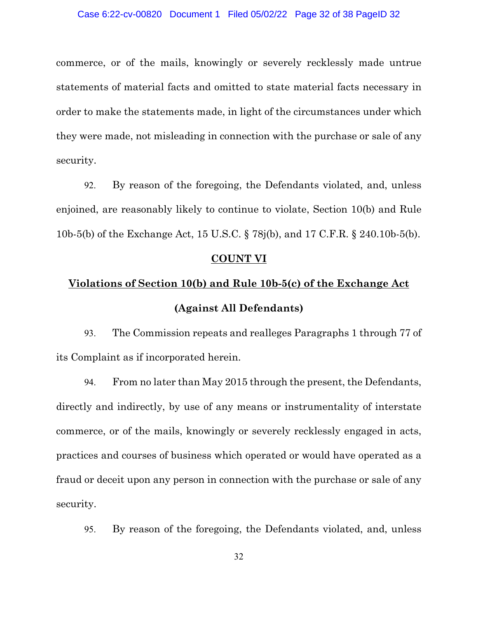commerce, or of the mails, knowingly or severely recklessly made untrue statements of material facts and omitted to state material facts necessary in order to make the statements made, in light of the circumstances under which they were made, not misleading in connection with the purchase or sale of any security.

92. By reason of the foregoing, the Defendants violated, and, unless enjoined, are reasonably likely to continue to violate, Section 10(b) and Rule 10b-5(b) of the Exchange Act, 15 U.S.C. § 78j(b), and 17 C.F.R. § 240.10b-5(b).

#### **COUNT VI**

# **Violations of Section 10(b) and Rule 10b-5(c) of the Exchange Act (Against All Defendants)**

93. The Commission repeats and realleges Paragraphs 1 through 77 of its Complaint as if incorporated herein.

94. From no later than May 2015 through the present, the Defendants, directly and indirectly, by use of any means or instrumentality of interstate commerce, or of the mails, knowingly or severely recklessly engaged in acts, practices and courses of business which operated or would have operated as a fraud or deceit upon any person in connection with the purchase or sale of any security.

95. By reason of the foregoing, the Defendants violated, and, unless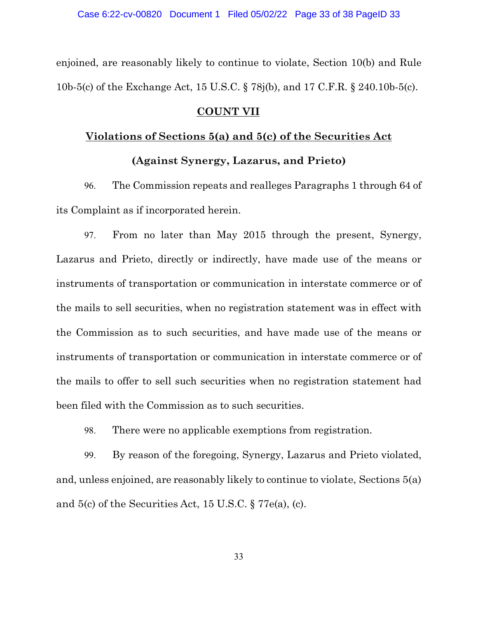enjoined, are reasonably likely to continue to violate, Section 10(b) and Rule 10b-5(c) of the Exchange Act, 15 U.S.C. § 78j(b), and 17 C.F.R. § 240.10b-5(c).

### **COUNT VII**

# **Violations of Sections 5(a) and 5(c) of the Securities Act (Against Synergy, Lazarus, and Prieto)**

96. The Commission repeats and realleges Paragraphs 1 through 64 of its Complaint as if incorporated herein.

97. From no later than May 2015 through the present, Synergy, Lazarus and Prieto, directly or indirectly, have made use of the means or instruments of transportation or communication in interstate commerce or of the mails to sell securities, when no registration statement was in effect with the Commission as to such securities, and have made use of the means or instruments of transportation or communication in interstate commerce or of the mails to offer to sell such securities when no registration statement had been filed with the Commission as to such securities.

98. There were no applicable exemptions from registration.

99. By reason of the foregoing, Synergy, Lazarus and Prieto violated, and, unless enjoined, are reasonably likely to continue to violate, Sections 5(a) and 5(c) of the Securities Act, 15 U.S.C. § 77e(a), (c).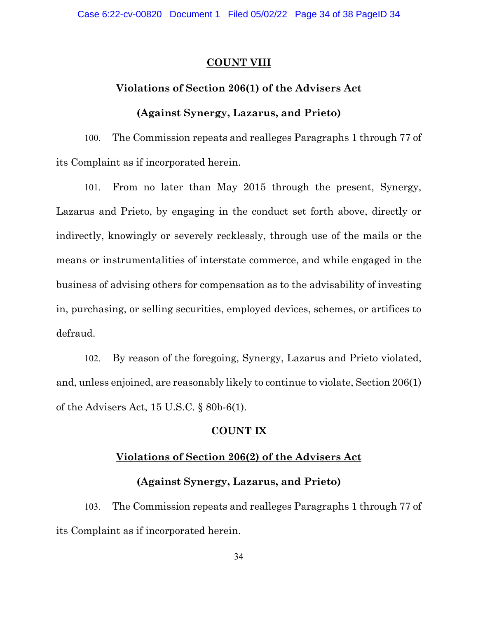## **COUNT VIII**

## **Violations of Section 206(1) of the Advisers Act**

## **(Against Synergy, Lazarus, and Prieto)**

100. The Commission repeats and realleges Paragraphs 1 through 77 of its Complaint as if incorporated herein.

101. From no later than May 2015 through the present, Synergy, Lazarus and Prieto, by engaging in the conduct set forth above, directly or indirectly, knowingly or severely recklessly, through use of the mails or the means or instrumentalities of interstate commerce, and while engaged in the business of advising others for compensation as to the advisability of investing in, purchasing, or selling securities, employed devices, schemes, or artifices to defraud.

102. By reason of the foregoing, Synergy, Lazarus and Prieto violated, and, unless enjoined, are reasonably likely to continue to violate, Section 206(1) of the Advisers Act, 15 U.S.C. § 80b-6(1).

## **COUNT IX**

## **Violations of Section 206(2) of the Advisers Act**

## **(Against Synergy, Lazarus, and Prieto)**

103. The Commission repeats and realleges Paragraphs 1 through 77 of its Complaint as if incorporated herein.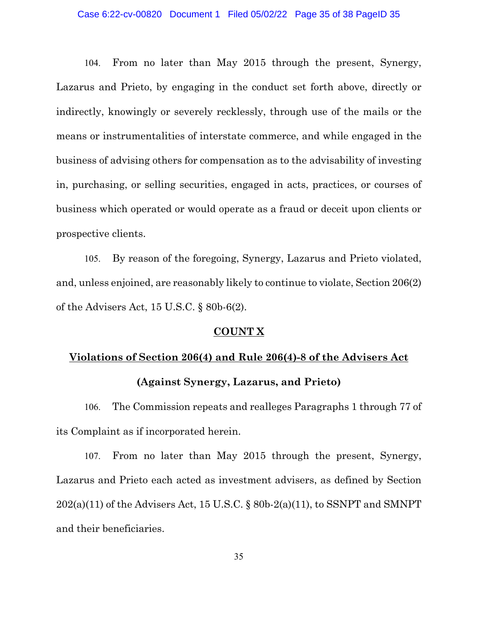#### Case 6:22-cv-00820 Document 1 Filed 05/02/22 Page 35 of 38 PageID 35

104. From no later than May 2015 through the present, Synergy, Lazarus and Prieto, by engaging in the conduct set forth above, directly or indirectly, knowingly or severely recklessly, through use of the mails or the means or instrumentalities of interstate commerce, and while engaged in the business of advising others for compensation as to the advisability of investing in, purchasing, or selling securities, engaged in acts, practices, or courses of business which operated or would operate as a fraud or deceit upon clients or prospective clients.

105. By reason of the foregoing, Synergy, Lazarus and Prieto violated, and, unless enjoined, are reasonably likely to continue to violate, Section 206(2) of the Advisers Act, 15 U.S.C. § 80b-6(2).

## **COUNT X**

# **Violations of Section 206(4) and Rule 206(4)-8 of the Advisers Act (Against Synergy, Lazarus, and Prieto)**

106. The Commission repeats and realleges Paragraphs 1 through 77 of its Complaint as if incorporated herein.

107. From no later than May 2015 through the present, Synergy, Lazarus and Prieto each acted as investment advisers, as defined by Section  $202(a)(11)$  of the Advisers Act, 15 U.S.C. § 80b-2(a)(11), to SSNPT and SMNPT and their beneficiaries.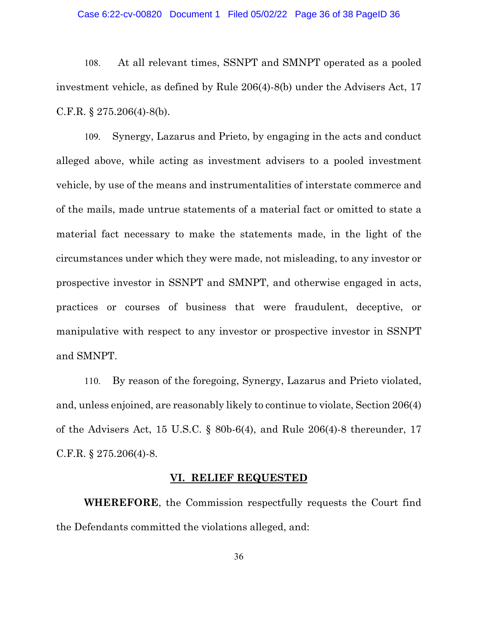#### Case 6:22-cv-00820 Document 1 Filed 05/02/22 Page 36 of 38 PageID 36

108. At all relevant times, SSNPT and SMNPT operated as a pooled investment vehicle, as defined by Rule 206(4)-8(b) under the Advisers Act, 17 C.F.R. § 275.206(4)-8(b).

109. Synergy, Lazarus and Prieto, by engaging in the acts and conduct alleged above, while acting as investment advisers to a pooled investment vehicle, by use of the means and instrumentalities of interstate commerce and of the mails, made untrue statements of a material fact or omitted to state a material fact necessary to make the statements made, in the light of the circumstances under which they were made, not misleading, to any investor or prospective investor in SSNPT and SMNPT, and otherwise engaged in acts, practices or courses of business that were fraudulent, deceptive, or manipulative with respect to any investor or prospective investor in SSNPT and SMNPT.

110. By reason of the foregoing, Synergy, Lazarus and Prieto violated, and, unless enjoined, are reasonably likely to continue to violate, Section 206(4) of the Advisers Act, 15 U.S.C. § 80b-6(4), and Rule 206(4)-8 thereunder, 17 C.F.R. § 275.206(4)-8.

#### **VI. RELIEF REQUESTED**

**WHEREFORE**, the Commission respectfully requests the Court find the Defendants committed the violations alleged, and: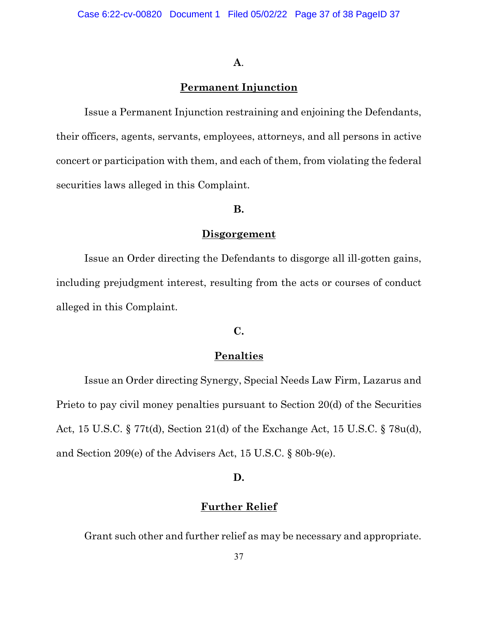#### **A**.

## **Permanent Injunction**

Issue a Permanent Injunction restraining and enjoining the Defendants, their officers, agents, servants, employees, attorneys, and all persons in active concert or participation with them, and each of them, from violating the federal securities laws alleged in this Complaint.

## **B.**

#### **Disgorgement**

Issue an Order directing the Defendants to disgorge all ill-gotten gains, including prejudgment interest, resulting from the acts or courses of conduct alleged in this Complaint.

## **C.**

## **Penalties**

Issue an Order directing Synergy, Special Needs Law Firm, Lazarus and Prieto to pay civil money penalties pursuant to Section 20(d) of the Securities Act, 15 U.S.C. § 77t(d), Section 21(d) of the Exchange Act, 15 U.S.C. § 78u(d), and Section 209(e) of the Advisers Act, 15 U.S.C. § 80b-9(e).

## **D.**

## **Further Relief**

Grant such other and further relief as may be necessary and appropriate.